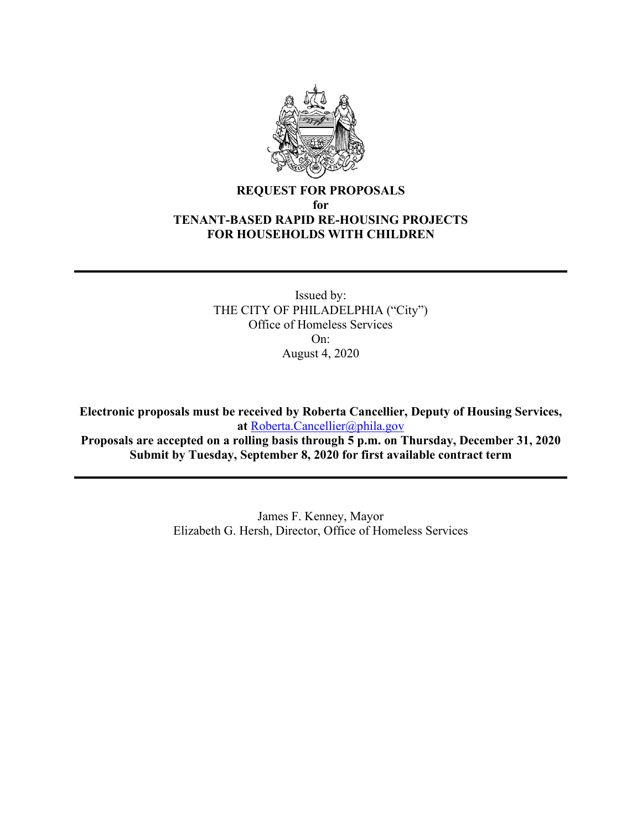

# **REQUEST FOR PROPOSALS for TENANT-BASED RAPID RE-HOUSING PROJECTS FOR HOUSEHOLDS WITH CHILDREN**

Issued by: THE CITY OF PHILADELPHIA ("City") Office of Homeless Services  $On<sup>2</sup>$ August 4, 2020

**Electronic proposals must be received by Roberta Cancellier, Deputy of Housing Services, at** [Roberta.Cancellier@phila.gov](mailto:Roberta.Cancellier@phila.gov)

**Proposals are accepted on a rolling basis through 5 p.m. on Thursday, December 31, 2020 Submit by Tuesday, September 8, 2020 for first available contract term**

> James F. Kenney, Mayor Elizabeth G. Hersh, Director, Office of Homeless Services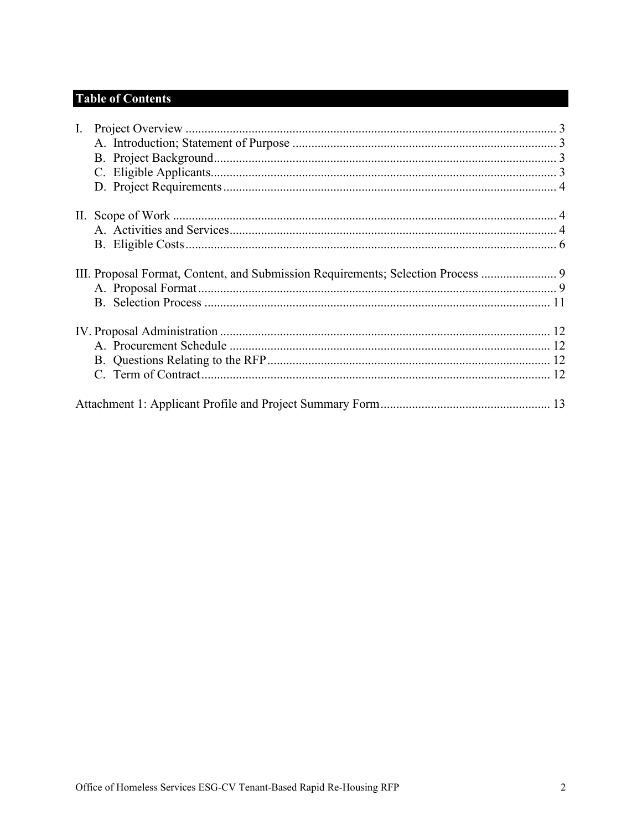# **Table of Contents**

| $\mathbf{I}$ . |                                                                                  |  |
|----------------|----------------------------------------------------------------------------------|--|
|                |                                                                                  |  |
|                |                                                                                  |  |
|                |                                                                                  |  |
|                |                                                                                  |  |
|                |                                                                                  |  |
|                |                                                                                  |  |
|                |                                                                                  |  |
|                |                                                                                  |  |
|                | III. Proposal Format, Content, and Submission Requirements; Selection Process  9 |  |
|                |                                                                                  |  |
|                |                                                                                  |  |
|                |                                                                                  |  |
|                |                                                                                  |  |
|                |                                                                                  |  |
|                |                                                                                  |  |
|                |                                                                                  |  |
|                |                                                                                  |  |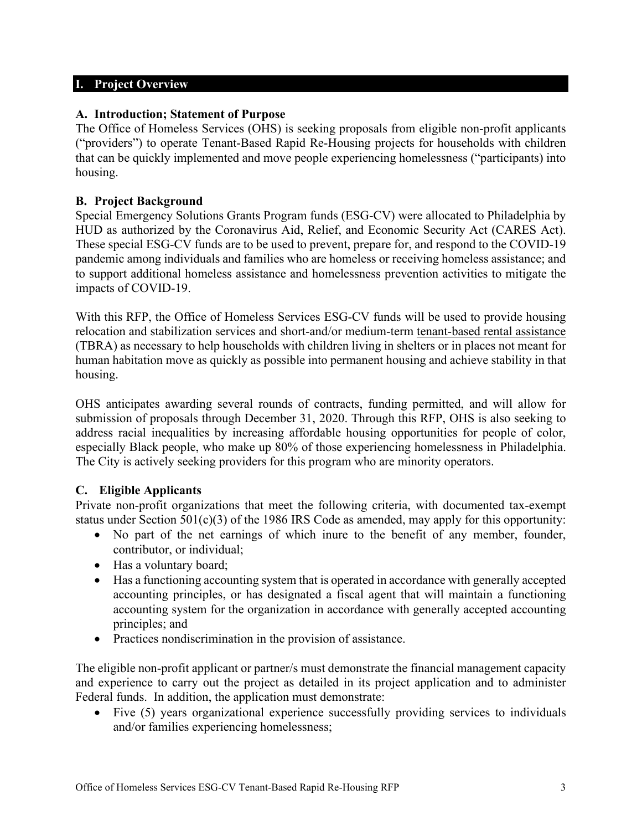#### <span id="page-2-0"></span>**I. Project Overview**

#### <span id="page-2-1"></span>**A. Introduction; Statement of Purpose**

The Office of Homeless Services (OHS) is seeking proposals from eligible non-profit applicants ("providers") to operate Tenant-Based Rapid Re-Housing projects for households with children that can be quickly implemented and move people experiencing homelessness ("participants) into housing.

#### <span id="page-2-2"></span>**B. Project Background**

Special Emergency Solutions Grants Program funds (ESG-CV) were allocated to Philadelphia by HUD as authorized by the Coronavirus Aid, Relief, and Economic Security Act (CARES Act). These special ESG-CV funds are to be used to prevent, prepare for, and respond to the COVID-19 pandemic among individuals and families who are homeless or receiving homeless assistance; and to support additional homeless assistance and homelessness prevention activities to mitigate the impacts of COVID-19.

With this RFP, the Office of Homeless Services ESG-CV funds will be used to provide housing relocation and stabilization services and short-and/or medium-term tenant-based rental assistance (TBRA) as necessary to help households with children living in shelters or in places not meant for human habitation move as quickly as possible into permanent housing and achieve stability in that housing.

OHS anticipates awarding several rounds of contracts, funding permitted, and will allow for submission of proposals through December 31, 2020. Through this RFP, OHS is also seeking to address racial inequalities by increasing affordable housing opportunities for people of color, especially Black people, who make up 80% of those experiencing homelessness in Philadelphia. The City is actively seeking providers for this program who are minority operators.

# <span id="page-2-3"></span>**C. Eligible Applicants**

Private non-profit organizations that meet the following criteria, with documented tax-exempt status under Section  $501(c)(3)$  of the 1986 IRS Code as amended, may apply for this opportunity:

- No part of the net earnings of which inure to the benefit of any member, founder, contributor, or individual;
- Has a voluntary board;
- Has a functioning accounting system that is operated in accordance with generally accepted accounting principles, or has designated a fiscal agent that will maintain a functioning accounting system for the organization in accordance with generally accepted accounting principles; and
- Practices nondiscrimination in the provision of assistance.

The eligible non-profit applicant or partner/s must demonstrate the financial management capacity and experience to carry out the project as detailed in its project application and to administer Federal funds. In addition, the application must demonstrate:

• Five (5) years organizational experience successfully providing services to individuals and/or families experiencing homelessness;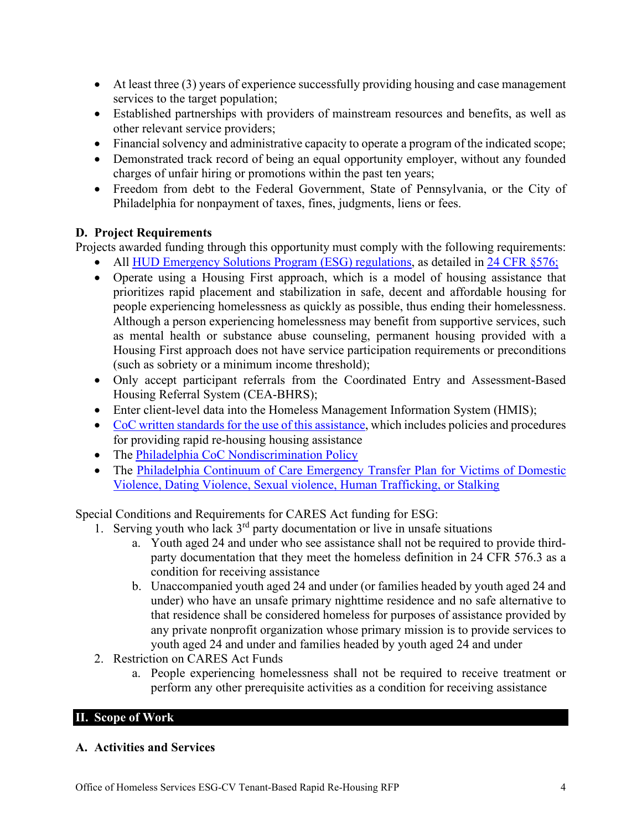- At least three (3) years of experience successfully providing housing and case management services to the target population;
- Established partnerships with providers of mainstream resources and benefits, as well as other relevant service providers;
- Financial solvency and administrative capacity to operate a program of the indicated scope;
- Demonstrated track record of being an equal opportunity employer, without any founded charges of unfair hiring or promotions within the past ten years;
- Freedom from debt to the Federal Government, State of Pennsylvania, or the City of Philadelphia for nonpayment of taxes, fines, judgments, liens or fees.

# <span id="page-3-0"></span>**D. Project Requirements**

Projects awarded funding through this opportunity must comply with the following requirements:

- All [HUD Emergency Solutions Program \(ESG\) regulations,](https://www.hudexchange.info/programs/esg/esg-law-regulations-and-notices/#laws) as detailed in [24 CFR §576;](https://www.govinfo.gov/content/pkg/CFR-2018-title24-vol3/xml/CFR-2018-title24-vol3-part576.xml#seqnum576.409)
- Operate using a Housing First approach, which is a model of housing assistance that prioritizes rapid placement and stabilization in safe, decent and affordable housing for people experiencing homelessness as quickly as possible, thus ending their homelessness. Although a person experiencing homelessness may benefit from supportive services, such as mental health or substance abuse counseling, permanent housing provided with a Housing First approach does not have service participation requirements or preconditions (such as sobriety or a minimum income threshold);
- Only accept participant referrals from the Coordinated Entry and Assessment-Based Housing Referral System (CEA-BHRS);
- Enter client-level data into the Homeless Management Information System (HMIS);
- [CoC written standards for the use of this assistance,](http://philadelphiaofficeofhomelessservices.org/wp-content/uploads/2018/09/Standards-for-Providing-Assistance-Under-ESG-and-CoC-Programs0D0A-REVISED-August-2018-for-posting.pdf) which includes policies and procedures for providing rapid re-housing housing assistance
- The [Philadelphia CoC Nondiscrimination Policy](http://philadelphiaofficeofhomelessservices.org/wp-content/uploads/2017/12/scanned-signed-board-approved-nondiscrimination-policy.pdf)
- The Philadelphia Continuum of Care Emergency Transfer Plan for Victims of Domestic [Violence, Dating Violence, Sexual violence, Human Trafficking, or Stalking](http://philadelphiaofficeofhomelessservices.org/wp-content/uploads/2018/09/Philadelphia-CoC-Emergency-Transfer-Plan-for-posting.pdf)

Special Conditions and Requirements for CARES Act funding for ESG:

- 1. Serving youth who lack  $3<sup>rd</sup>$  party documentation or live in unsafe situations
	- a. Youth aged 24 and under who see assistance shall not be required to provide thirdparty documentation that they meet the homeless definition in 24 CFR 576.3 as a condition for receiving assistance
	- b. Unaccompanied youth aged 24 and under (or families headed by youth aged 24 and under) who have an unsafe primary nighttime residence and no safe alternative to that residence shall be considered homeless for purposes of assistance provided by any private nonprofit organization whose primary mission is to provide services to youth aged 24 and under and families headed by youth aged 24 and under
- 2. Restriction on CARES Act Funds
	- a. People experiencing homelessness shall not be required to receive treatment or perform any other prerequisite activities as a condition for receiving assistance

# <span id="page-3-1"></span>**II. Scope of Work**

# <span id="page-3-2"></span>**A. Activities and Services**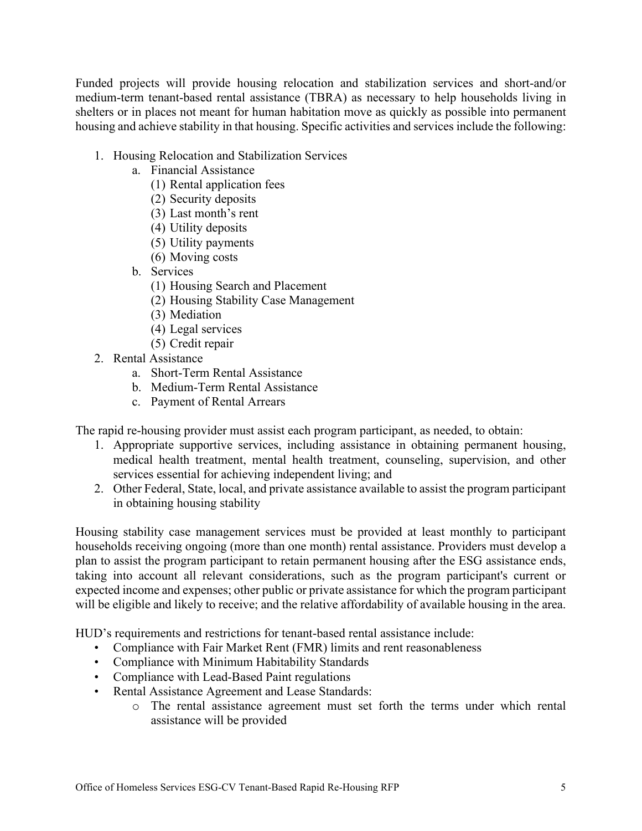Funded projects will provide housing relocation and stabilization services and short-and/or medium-term tenant-based rental assistance (TBRA) as necessary to help households living in shelters or in places not meant for human habitation move as quickly as possible into permanent housing and achieve stability in that housing. Specific activities and services include the following:

- 1. Housing Relocation and Stabilization Services
	- a. Financial Assistance
		- (1) Rental application fees
		- (2) Security deposits
		- (3) Last month's rent
		- (4) Utility deposits
		- (5) Utility payments
		- (6) Moving costs
	- b. Services
		- (1) Housing Search and Placement
		- (2) Housing Stability Case Management
		- (3) Mediation
		- (4) Legal services
		- (5) Credit repair
- 2. Rental Assistance
	- a. Short-Term Rental Assistance
	- b. Medium-Term Rental Assistance
	- c. Payment of Rental Arrears

The rapid re-housing provider must assist each program participant, as needed, to obtain:

- 1. Appropriate supportive services, including assistance in obtaining permanent housing, medical health treatment, mental health treatment, counseling, supervision, and other services essential for achieving independent living; and
- 2. Other Federal, State, local, and private assistance available to assist the program participant in obtaining housing stability

Housing stability case management services must be provided at least monthly to participant households receiving ongoing (more than one month) rental assistance. Providers must develop a plan to assist the program participant to retain permanent housing after the ESG assistance ends, taking into account all relevant considerations, such as the program participant's current or expected income and expenses; other public or private assistance for which the program participant will be eligible and likely to receive; and the relative affordability of available housing in the area.

HUD's requirements and restrictions for tenant-based rental assistance include:

- Compliance with Fair Market Rent (FMR) limits and rent reasonableness
- Compliance with Minimum Habitability Standards
- Compliance with Lead-Based Paint regulations
- Rental Assistance Agreement and Lease Standards:
	- o The rental assistance agreement must set forth the terms under which rental assistance will be provided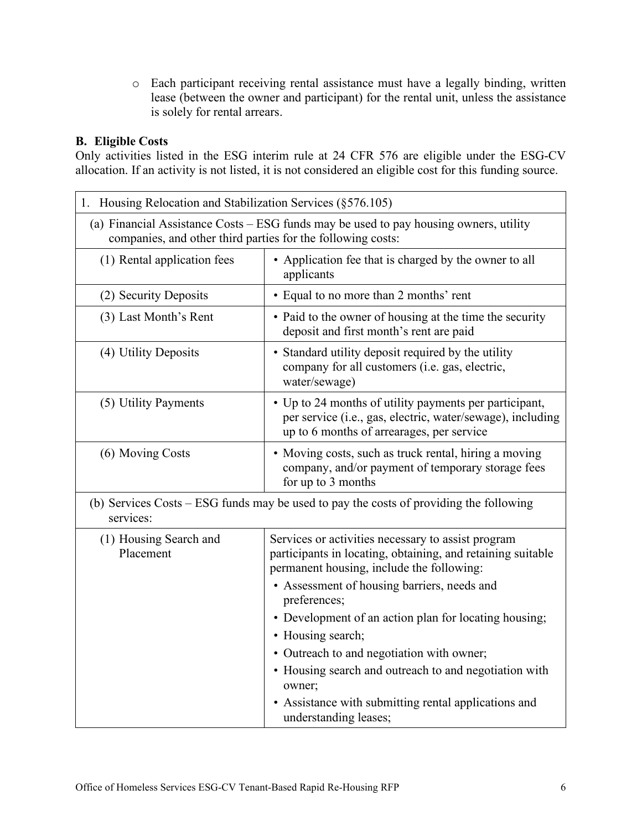o Each participant receiving rental assistance must have a legally binding, written lease (between the owner and participant) for the rental unit, unless the assistance is solely for rental arrears.

# <span id="page-5-0"></span>**B. Eligible Costs**

Only activities listed in the ESG interim rule at 24 CFR 576 are eligible under the ESG-CV allocation. If an activity is not listed, it is not considered an eligible cost for this funding source.

| 1. Housing Relocation and Stabilization Services (§576.105)                                                                                          |                                                                                                                                                                   |  |  |  |
|------------------------------------------------------------------------------------------------------------------------------------------------------|-------------------------------------------------------------------------------------------------------------------------------------------------------------------|--|--|--|
| (a) Financial Assistance Costs – ESG funds may be used to pay housing owners, utility<br>companies, and other third parties for the following costs: |                                                                                                                                                                   |  |  |  |
| (1) Rental application fees                                                                                                                          | • Application fee that is charged by the owner to all<br>applicants                                                                                               |  |  |  |
| (2) Security Deposits                                                                                                                                | • Equal to no more than 2 months' rent                                                                                                                            |  |  |  |
| (3) Last Month's Rent                                                                                                                                | • Paid to the owner of housing at the time the security<br>deposit and first month's rent are paid                                                                |  |  |  |
| (4) Utility Deposits                                                                                                                                 | • Standard utility deposit required by the utility<br>company for all customers (i.e. gas, electric,<br>water/sewage)                                             |  |  |  |
| (5) Utility Payments                                                                                                                                 | • Up to 24 months of utility payments per participant,<br>per service (i.e., gas, electric, water/sewage), including<br>up to 6 months of arrearages, per service |  |  |  |
| (6) Moving Costs                                                                                                                                     | • Moving costs, such as truck rental, hiring a moving<br>company, and/or payment of temporary storage fees<br>for up to 3 months                                  |  |  |  |
| (b) Services Costs – ESG funds may be used to pay the costs of providing the following<br>services:                                                  |                                                                                                                                                                   |  |  |  |
| (1) Housing Search and<br>Placement                                                                                                                  | Services or activities necessary to assist program<br>participants in locating, obtaining, and retaining suitable<br>permanent housing, include the following:    |  |  |  |
|                                                                                                                                                      | • Assessment of housing barriers, needs and<br>preferences;                                                                                                       |  |  |  |
|                                                                                                                                                      | • Development of an action plan for locating housing;                                                                                                             |  |  |  |
|                                                                                                                                                      | • Housing search;                                                                                                                                                 |  |  |  |
|                                                                                                                                                      | • Outreach to and negotiation with owner;                                                                                                                         |  |  |  |
|                                                                                                                                                      | • Housing search and outreach to and negotiation with<br>owner;                                                                                                   |  |  |  |
|                                                                                                                                                      | • Assistance with submitting rental applications and<br>understanding leases;                                                                                     |  |  |  |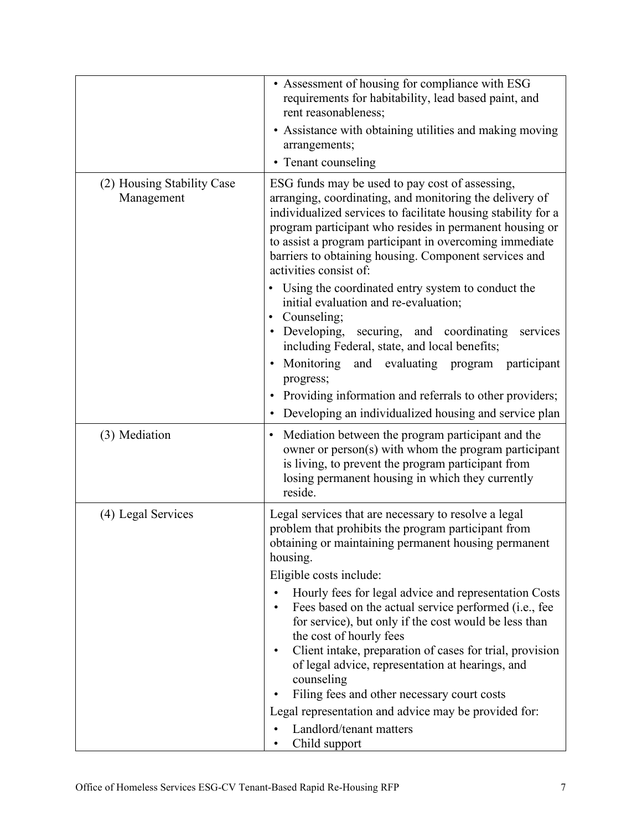|                                          | • Assessment of housing for compliance with ESG<br>requirements for habitability, lead based paint, and<br>rent reasonableness;<br>• Assistance with obtaining utilities and making moving<br>arrangements;<br>• Tenant counseling                                                                                                                                                                                                                                                                                                                                                                                                                                                                                                       |
|------------------------------------------|------------------------------------------------------------------------------------------------------------------------------------------------------------------------------------------------------------------------------------------------------------------------------------------------------------------------------------------------------------------------------------------------------------------------------------------------------------------------------------------------------------------------------------------------------------------------------------------------------------------------------------------------------------------------------------------------------------------------------------------|
| (2) Housing Stability Case<br>Management | ESG funds may be used to pay cost of assessing,<br>arranging, coordinating, and monitoring the delivery of<br>individualized services to facilitate housing stability for a<br>program participant who resides in permanent housing or<br>to assist a program participant in overcoming immediate<br>barriers to obtaining housing. Component services and<br>activities consist of:<br>• Using the coordinated entry system to conduct the<br>initial evaluation and re-evaluation;                                                                                                                                                                                                                                                     |
|                                          | • Counseling;<br>• Developing, securing, and coordinating<br>services<br>including Federal, state, and local benefits;<br>· Monitoring and evaluating program participant<br>progress;<br>Providing information and referrals to other providers;<br>• Developing an individualized housing and service plan                                                                                                                                                                                                                                                                                                                                                                                                                             |
| (3) Mediation                            | Mediation between the program participant and the<br>$\bullet$<br>owner or person(s) with whom the program participant<br>is living, to prevent the program participant from<br>losing permanent housing in which they currently<br>reside.                                                                                                                                                                                                                                                                                                                                                                                                                                                                                              |
| (4) Legal Services                       | Legal services that are necessary to resolve a legal<br>problem that prohibits the program participant from<br>obtaining or maintaining permanent housing permanent<br>housing.<br>Eligible costs include:<br>Hourly fees for legal advice and representation Costs<br>Fees based on the actual service performed (i.e., fee<br>$\bullet$<br>for service), but only if the cost would be less than<br>the cost of hourly fees<br>Client intake, preparation of cases for trial, provision<br>$\bullet$<br>of legal advice, representation at hearings, and<br>counseling<br>Filing fees and other necessary court costs<br>$\bullet$<br>Legal representation and advice may be provided for:<br>Landlord/tenant matters<br>Child support |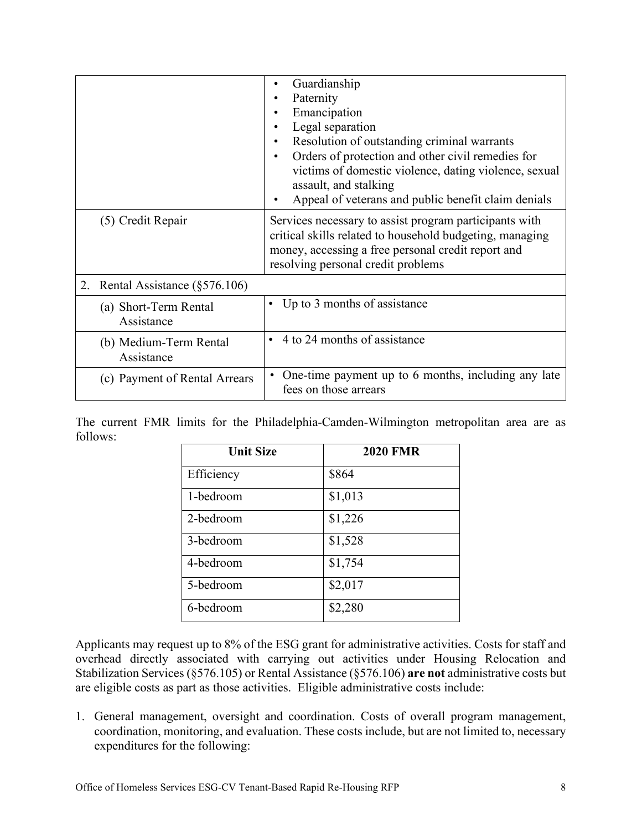|                                      | Guardianship<br>Paternity<br>Emancipation                                                                                                                                                                      |  |
|--------------------------------------|----------------------------------------------------------------------------------------------------------------------------------------------------------------------------------------------------------------|--|
|                                      |                                                                                                                                                                                                                |  |
|                                      |                                                                                                                                                                                                                |  |
|                                      | Legal separation                                                                                                                                                                                               |  |
|                                      | Resolution of outstanding criminal warrants<br>$\bullet$                                                                                                                                                       |  |
|                                      | Orders of protection and other civil remedies for<br>$\bullet$                                                                                                                                                 |  |
|                                      | victims of domestic violence, dating violence, sexual<br>assault, and stalking                                                                                                                                 |  |
|                                      | Appeal of veterans and public benefit claim denials                                                                                                                                                            |  |
| (5) Credit Repair                    | Services necessary to assist program participants with<br>critical skills related to household budgeting, managing<br>money, accessing a free personal credit report and<br>resolving personal credit problems |  |
| 2. Rental Assistance $(\S 576.106)$  |                                                                                                                                                                                                                |  |
| (a) Short-Term Rental<br>Assistance  | • Up to 3 months of assistance                                                                                                                                                                                 |  |
| (b) Medium-Term Rental<br>Assistance | • 4 to 24 months of assistance                                                                                                                                                                                 |  |
| (c) Payment of Rental Arrears        | One-time payment up to 6 months, including any late<br>fees on those arrears                                                                                                                                   |  |

The current FMR limits for the Philadelphia-Camden-Wilmington metropolitan area are as follows:

| <b>Unit Size</b> | <b>2020 FMR</b> |
|------------------|-----------------|
| Efficiency       | \$864           |
| 1-bedroom        | \$1,013         |
| 2-bedroom        | \$1,226         |
| 3-bedroom        | \$1,528         |
| 4-bedroom        | \$1,754         |
| 5-bedroom        | \$2,017         |
| 6-bedroom        | \$2,280         |

Applicants may request up to 8% of the ESG grant for administrative activities. Costs for staff and overhead directly associated with carrying out activities under Housing Relocation and Stabilization Services (§576.105) or Rental Assistance (§576.106) **are not** administrative costs but are eligible costs as part as those activities. Eligible administrative costs include:

1. General management, oversight and coordination. Costs of overall program management, coordination, monitoring, and evaluation. These costs include, but are not limited to, necessary expenditures for the following: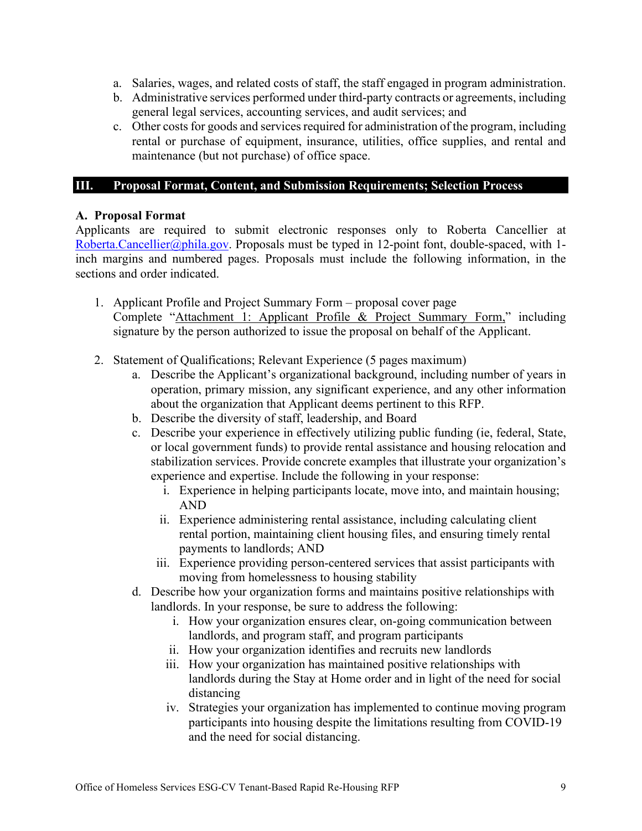- a. Salaries, wages, and related costs of staff, the staff engaged in program administration.
- b. Administrative services performed under third-party contracts or agreements, including general legal services, accounting services, and audit services; and
- c. Other costs for goods and services required for administration of the program, including rental or purchase of equipment, insurance, utilities, office supplies, and rental and maintenance (but not purchase) of office space.

# <span id="page-8-0"></span>**III. Proposal Format, Content, and Submission Requirements; Selection Process**

# <span id="page-8-1"></span>**A. Proposal Format**

Applicants are required to submit electronic responses only to Roberta Cancellier at [Roberta.Cancellier@phila.gov.](mailto:Roberta.Cancellier@phila.gov) Proposals must be typed in 12-point font, double-spaced, with 1inch margins and numbered pages. Proposals must include the following information, in the sections and order indicated.

- 1. Applicant Profile and Project Summary Form proposal cover page Complete "Attachment 1: Applicant Profile & Project Summary Form," including signature by the person authorized to issue the proposal on behalf of the Applicant.
- 2. Statement of Qualifications; Relevant Experience (5 pages maximum)
	- a. Describe the Applicant's organizational background, including number of years in operation, primary mission, any significant experience, and any other information about the organization that Applicant deems pertinent to this RFP.
	- b. Describe the diversity of staff, leadership, and Board
	- c. Describe your experience in effectively utilizing public funding (ie, federal, State, or local government funds) to provide rental assistance and housing relocation and stabilization services. Provide concrete examples that illustrate your organization's experience and expertise. Include the following in your response:
		- i. Experience in helping participants locate, move into, and maintain housing; AND
		- ii. Experience administering rental assistance, including calculating client rental portion, maintaining client housing files, and ensuring timely rental payments to landlords; AND
		- iii. Experience providing person-centered services that assist participants with moving from homelessness to housing stability
	- d. Describe how your organization forms and maintains positive relationships with landlords. In your response, be sure to address the following:
		- i. How your organization ensures clear, on-going communication between landlords, and program staff, and program participants
		- ii. How your organization identifies and recruits new landlords
		- iii. How your organization has maintained positive relationships with landlords during the Stay at Home order and in light of the need for social distancing
		- iv. Strategies your organization has implemented to continue moving program participants into housing despite the limitations resulting from COVID-19 and the need for social distancing.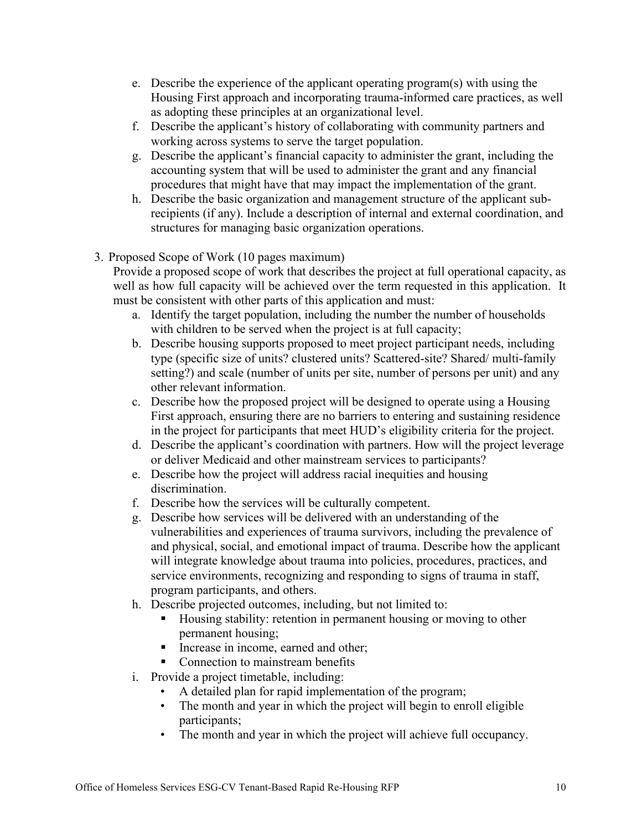- e. Describe the experience of the applicant operating program(s) with using the Housing First approach and incorporating trauma-informed care practices, as well as adopting these principles at an organizational level.
- f. Describe the applicant's history of collaborating with community partners and working across systems to serve the target population.
- g. Describe the applicant's financial capacity to administer the grant, including the accounting system that will be used to administer the grant and any financial procedures that might have that may impact the implementation of the grant.
- h. Describe the basic organization and management structure of the applicant subrecipients (if any). Include a description of internal and external coordination, and structures for managing basic organization operations.
- 3. Proposed Scope of Work (10 pages maximum)

Provide a proposed scope of work that describes the project at full operational capacity, as well as how full capacity will be achieved over the term requested in this application. It must be consistent with other parts of this application and must:

- a. Identify the target population, including the number the number of households with children to be served when the project is at full capacity;
- b. Describe housing supports proposed to meet project participant needs, including type (specific size of units? clustered units? Scattered-site? Shared/ multi-family setting?) and scale (number of units per site, number of persons per unit) and any other relevant information.
- c. Describe how the proposed project will be designed to operate using a Housing First approach, ensuring there are no barriers to entering and sustaining residence in the project for participants that meet HUD's eligibility criteria for the project.
- d. Describe the applicant's coordination with partners. How will the project leverage or deliver Medicaid and other mainstream services to participants?
- e. Describe how the project will address racial inequities and housing discrimination.
- f. Describe how the services will be culturally competent.
- g. Describe how services will be delivered with an understanding of the vulnerabilities and experiences of trauma survivors, including the prevalence of and physical, social, and emotional impact of trauma. Describe how the applicant will integrate knowledge about trauma into policies, procedures, practices, and service environments, recognizing and responding to signs of trauma in staff, program participants, and others.
- h. Describe projected outcomes, including, but not limited to:
	- Housing stability: retention in permanent housing or moving to other permanent housing;
	- Increase in income, earned and other:
	- Connection to mainstream benefits
- i. Provide a project timetable, including:
	- A detailed plan for rapid implementation of the program;
	- The month and year in which the project will begin to enroll eligible participants;
	- The month and year in which the project will achieve full occupancy.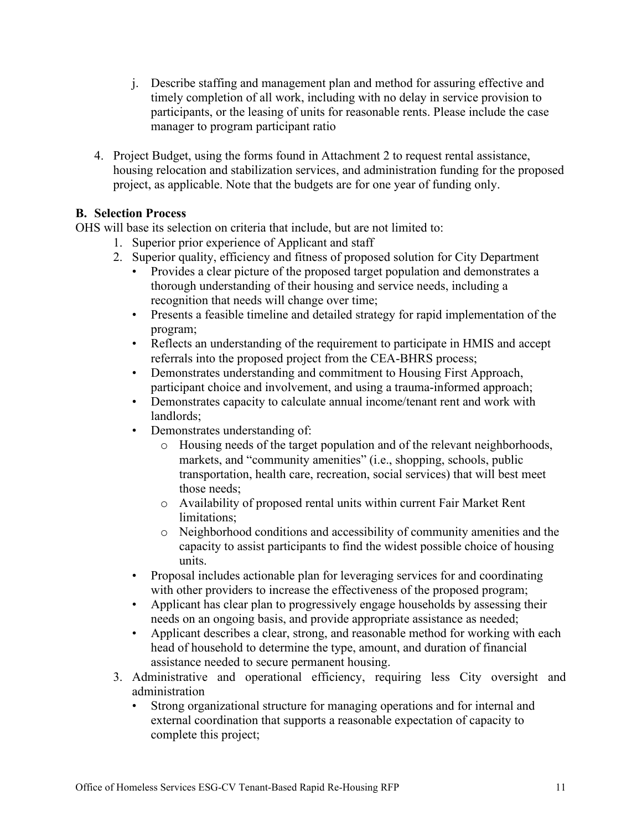- j. Describe staffing and management plan and method for assuring effective and timely completion of all work, including with no delay in service provision to participants, or the leasing of units for reasonable rents. Please include the case manager to program participant ratio
- 4. Project Budget, using the forms found in Attachment 2 to request rental assistance, housing relocation and stabilization services, and administration funding for the proposed project, as applicable. Note that the budgets are for one year of funding only.

# <span id="page-10-0"></span>**B. Selection Process**

OHS will base its selection on criteria that include, but are not limited to:

- 1. Superior prior experience of Applicant and staff
- 2. Superior quality, efficiency and fitness of proposed solution for City Department
	- Provides a clear picture of the proposed target population and demonstrates a thorough understanding of their housing and service needs, including a recognition that needs will change over time;
	- Presents a feasible timeline and detailed strategy for rapid implementation of the program;
	- Reflects an understanding of the requirement to participate in HMIS and accept referrals into the proposed project from the CEA-BHRS process;
	- Demonstrates understanding and commitment to Housing First Approach, participant choice and involvement, and using a trauma-informed approach;
	- Demonstrates capacity to calculate annual income/tenant rent and work with landlords;
	- Demonstrates understanding of:
		- o Housing needs of the target population and of the relevant neighborhoods, markets, and "community amenities" (i.e., shopping, schools, public transportation, health care, recreation, social services) that will best meet those needs;
		- o Availability of proposed rental units within current Fair Market Rent limitations;
		- o Neighborhood conditions and accessibility of community amenities and the capacity to assist participants to find the widest possible choice of housing units.
	- Proposal includes actionable plan for leveraging services for and coordinating with other providers to increase the effectiveness of the proposed program;
	- Applicant has clear plan to progressively engage households by assessing their needs on an ongoing basis, and provide appropriate assistance as needed;
	- Applicant describes a clear, strong, and reasonable method for working with each head of household to determine the type, amount, and duration of financial assistance needed to secure permanent housing.
- 3. Administrative and operational efficiency, requiring less City oversight and administration
	- Strong organizational structure for managing operations and for internal and external coordination that supports a reasonable expectation of capacity to complete this project;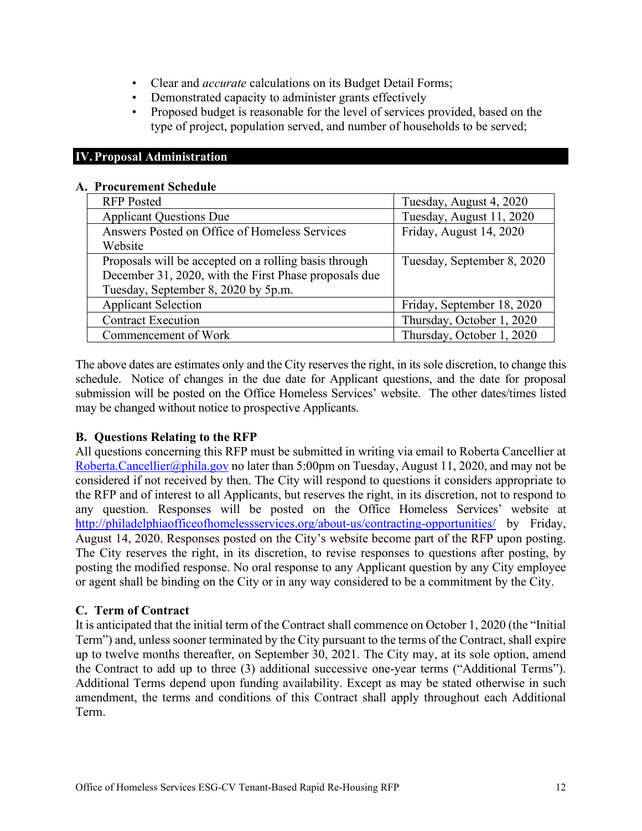- Clear and *accurate* calculations on its Budget Detail Forms;
- Demonstrated capacity to administer grants effectively
- Proposed budget is reasonable for the level of services provided, based on the type of project, population served, and number of households to be served;

#### <span id="page-11-0"></span>**IV.Proposal Administration**

#### <span id="page-11-1"></span>**A. Procurement Schedule**

| <b>RFP</b> Posted                                     | Tuesday, August 4, 2020    |
|-------------------------------------------------------|----------------------------|
| <b>Applicant Questions Due</b>                        | Tuesday, August 11, 2020   |
| Answers Posted on Office of Homeless Services         | Friday, August 14, 2020    |
| Website                                               |                            |
| Proposals will be accepted on a rolling basis through | Tuesday, September 8, 2020 |
| December 31, 2020, with the First Phase proposals due |                            |
| Tuesday, September 8, 2020 by 5p.m.                   |                            |
| <b>Applicant Selection</b>                            | Friday, September 18, 2020 |
| <b>Contract Execution</b>                             | Thursday, October 1, 2020  |
| Commencement of Work                                  | Thursday, October 1, 2020  |

The above dates are estimates only and the City reserves the right, in its sole discretion, to change this schedule. Notice of changes in the due date for Applicant questions, and the date for proposal submission will be posted on the Office Homeless Services' website. The other dates/times listed may be changed without notice to prospective Applicants.

#### <span id="page-11-2"></span>**B. Questions Relating to the RFP**

All questions concerning this RFP must be submitted in writing via email to Roberta Cancellier at [Roberta.Cancellier@phila.gov](mailto:Roberta.Cancellier@phila.gov) no later than 5:00pm on Tuesday, August 11, 2020, and may not be considered if not received by then. The City will respond to questions it considers appropriate to the RFP and of interest to all Applicants, but reserves the right, in its discretion, not to respond to any question. Responses will be posted on the Office Homeless Services' website at <http://philadelphiaofficeofhomelessservices.org/about-us/contracting-opportunities/> by Friday, August 14, 2020. Responses posted on the City's website become part of the RFP upon posting. The City reserves the right, in its discretion, to revise responses to questions after posting, by posting the modified response. No oral response to any Applicant question by any City employee or agent shall be binding on the City or in any way considered to be a commitment by the City.

#### <span id="page-11-3"></span>**C. Term of Contract**

It is anticipated that the initial term of the Contract shall commence on October 1, 2020 (the "Initial Term") and, unless sooner terminated by the City pursuant to the terms of the Contract, shall expire up to twelve months thereafter, on September 30, 2021. The City may, at its sole option, amend the Contract to add up to three (3) additional successive one-year terms ("Additional Terms"). Additional Terms depend upon funding availability. Except as may be stated otherwise in such amendment, the terms and conditions of this Contract shall apply throughout each Additional Term.